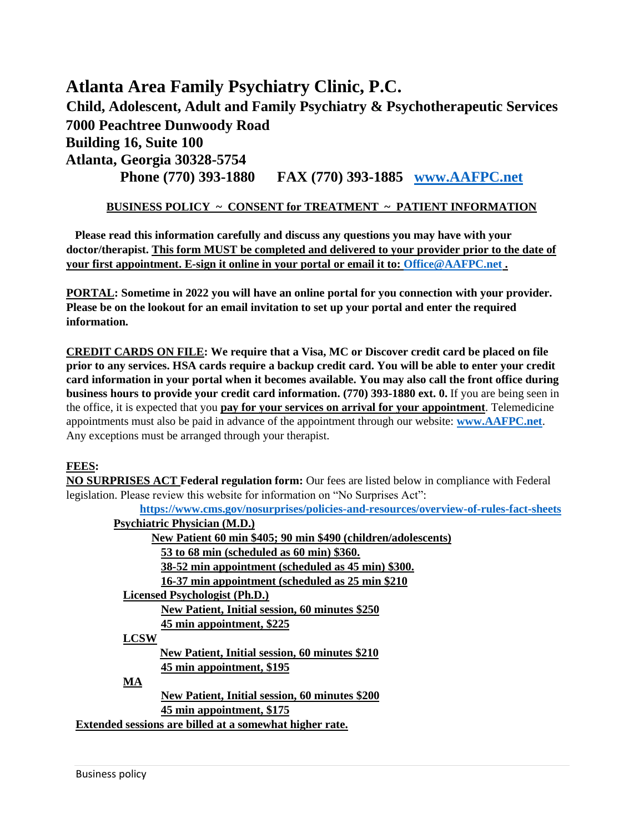**Atlanta Area Family Psychiatry Clinic, P.C. Child, Adolescent, Adult and Family Psychiatry & Psychotherapeutic Services 7000 Peachtree Dunwoody Road Building 16, Suite 100 Atlanta, Georgia 30328-5754 Phone (770) 393-1880 FAX (770) 393-1885 [www.AAFPC.net](http://www.aafpc.net/)**

# **BUSINESS POLICY ~ CONSENT for TREATMENT ~ PATIENT INFORMATION**

 **Please read this information carefully and discuss any questions you may have with your doctor/therapist. This form MUST be completed and delivered to your provider prior to the date of your first appointment. E-sign it online in your portal or email it to: [Office@AAFPC.net](mailto:Office@AAFPC.net) .**

**PORTAL: Sometime in 2022 you will have an online portal for you connection with your provider. Please be on the lookout for an email invitation to set up your portal and enter the required information.**

**CREDIT CARDS ON FILE: We require that a Visa, MC or Discover credit card be placed on file prior to any services. HSA cards require a backup credit card. You will be able to enter your credit card information in your portal when it becomes available. You may also call the front office during business hours to provide your credit card information. (770) 393-1880 ext. 0.** If you are being seen in the office, it is expected that you **pay for your services on arrival for your appointment**. Telemedicine appointments must also be paid in advance of the appointment through our website: **[www.AAFPC.net](http://www.aafpc.net/)**. Any exceptions must be arranged through your therapist.

# **FEES:**

**NO SURPRISES ACT Federal regulation form:** Our fees are listed below in compliance with Federal legislation. Please review this website for information on "No Surprises Act":

**<https://www.cms.gov/nosurprises/policies-and-resources/overview-of-rules-fact-sheets>**

| <b>Psychiatric Physician (M.D.)</b>                           |
|---------------------------------------------------------------|
| New Patient 60 min \$405; 90 min \$490 (children/adolescents) |
| 53 to 68 min (scheduled as 60 min) \$360.                     |
| 38-52 min appointment (scheduled as 45 min) \$300.            |
| 16-37 min appointment (scheduled as 25 min \$210)             |
| Licensed Psychologist (Ph.D.)                                 |
| New Patient, Initial session, 60 minutes \$250                |
| 45 min appointment, \$225                                     |
| <b>LCSW</b>                                                   |
| New Patient, Initial session, 60 minutes \$210                |
| 45 min appointment, \$195                                     |
| MA                                                            |
| New Patient, Initial session, 60 minutes \$200                |
| 45 min appointment, \$175                                     |
| Extended sessions are billed at a somewhat higher rate.       |
|                                                               |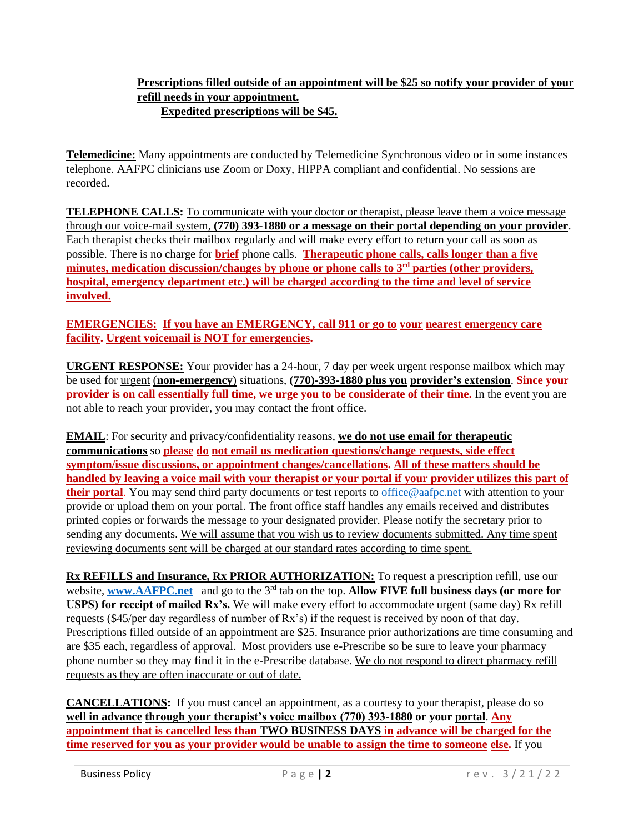#### **Prescriptions filled outside of an appointment will be \$25 so notify your provider of your refill needs in your appointment. Expedited prescriptions will be \$45.**

**Telemedicine:** Many appointments are conducted by Telemedicine Synchronous video or in some instances telephone. AAFPC clinicians use Zoom or Doxy, HIPPA compliant and confidential. No sessions are recorded.

**TELEPHONE CALLS:** To communicate with your doctor or therapist, please leave them a voice message through our voice-mail system, **(770) 393-1880 or a message on their portal depending on your provider**. Each therapist checks their mailbox regularly and will make every effort to return your call as soon as possible. There is no charge for **brief** phone calls. **Therapeutic phone calls, calls longer than a five minutes, medication discussion/changes by phone or phone calls to 3rd parties (other providers, hospital, emergency department etc.) will be charged according to the time and level of service involved.** 

## **EMERGENCIES: If you have an EMERGENCY, call 911 or go to your nearest emergency care facility. Urgent voicemail is NOT for emergencies.**

**URGENT RESPONSE:** Your provider has a 24-hour, 7 day per week urgent response mailbox which may be used for urgent (**non-emergency**) situations, **(770)-393-1880 plus you provider's extension**. **Since your provider is on call essentially full time, we urge you to be considerate of their time.** In the event you are not able to reach your provider, you may contact the front office.

**EMAIL**: For security and privacy/confidentiality reasons, **we do not use email for therapeutic communications** so **please do not email us medication questions/change requests, side effect symptom/issue discussions, or appointment changes/cancellations. All of these matters should be handled by leaving a voice mail with your therapist or your portal if your provider utilizes this part of their portal**. You may send third party documents or test reports t[o office@aafpc.net](mailto:office@aafpc.net) with attention to your provide or upload them on your portal. The front office staff handles any emails received and distributes printed copies or forwards the message to your designated provider. Please notify the secretary prior to sending any documents. We will assume that you wish us to review documents submitted. Any time spent reviewing documents sent will be charged at our standard rates according to time spent.

**Rx REFILLS and Insurance, Rx PRIOR AUTHORIZATION:** To request a prescription refill, use our website, **[www.AAFPC.net](http://www.aafpc.net/)** and go to the 3<sup>rd</sup> tab on the top. Allow FIVE full business days (or more for **USPS) for receipt of mailed Rx's.** We will make every effort to accommodate urgent (same day) Rx refill requests (\$45/per day regardless of number of Rx's) if the request is received by noon of that day. Prescriptions filled outside of an appointment are \$25. Insurance prior authorizations are time consuming and are \$35 each, regardless of approval. Most providers use e-Prescribe so be sure to leave your pharmacy phone number so they may find it in the e-Prescribe database. We do not respond to direct pharmacy refill requests as they are often inaccurate or out of date.

**CANCELLATIONS:** If you must cancel an appointment, as a courtesy to your therapist, please do so **well in advance through your therapist's voice mailbox (770) 393-1880 or your portal**. **Any appointment that is cancelled less than TWO BUSINESS DAYS in advance will be charged for the time reserved for you as your provider would be unable to assign the time to someone else.** If you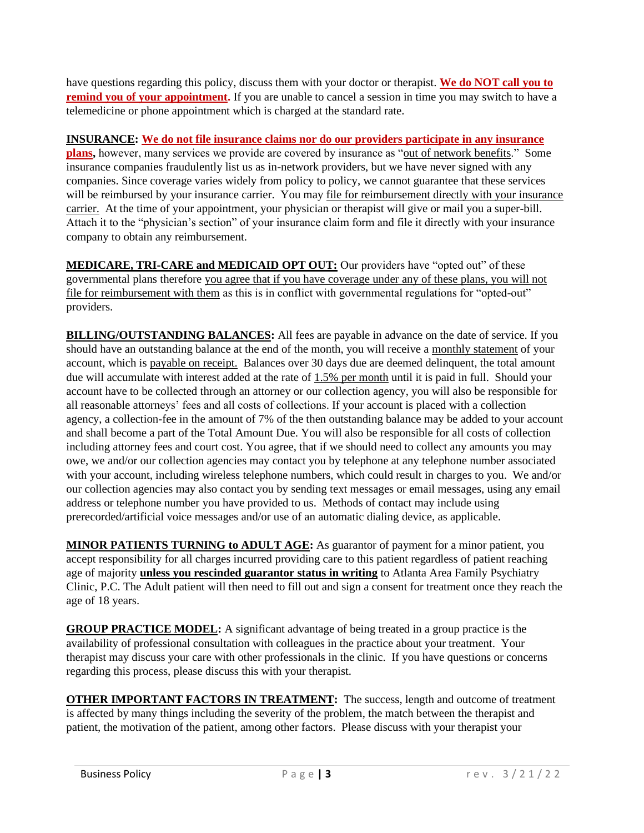have questions regarding this policy, discuss them with your doctor or therapist. **We do NOT call you to remind you of your appointment.** If you are unable to cancel a session in time you may switch to have a telemedicine or phone appointment which is charged at the standard rate.

## **INSURANCE: We do not file insurance claims nor do our providers participate in any insurance**

**plans,** however, many services we provide are covered by insurance as "out of network benefits." Some insurance companies fraudulently list us as in-network providers, but we have never signed with any companies. Since coverage varies widely from policy to policy, we cannot guarantee that these services will be reimbursed by your insurance carrier. You may file for reimbursement directly with your insurance carrier. At the time of your appointment, your physician or therapist will give or mail you a super-bill. Attach it to the "physician's section" of your insurance claim form and file it directly with your insurance company to obtain any reimbursement.

**MEDICARE, TRI-CARE and MEDICAID OPT OUT:** Our providers have "opted out" of these governmental plans therefore you agree that if you have coverage under any of these plans, you will not file for reimbursement with them as this is in conflict with governmental regulations for "opted-out" providers.

**BILLING/OUTSTANDING BALANCES:** All fees are payable in advance on the date of service. If you should have an outstanding balance at the end of the month, you will receive a monthly statement of your account, which is payable on receipt. Balances over 30 days due are deemed delinquent, the total amount due will accumulate with interest added at the rate of 1.5% per month until it is paid in full. Should your account have to be collected through an attorney or our collection agency, you will also be responsible for all reasonable attorneys' fees and all costs of collections. If your account is placed with a collection agency, a collection-fee in the amount of 7% of the then outstanding balance may be added to your account and shall become a part of the Total Amount Due. You will also be responsible for all costs of collection including attorney fees and court cost. You agree, that if we should need to collect any amounts you may owe, we and/or our collection agencies may contact you by telephone at any telephone number associated with your account, including wireless telephone numbers, which could result in charges to you. We and/or our collection agencies may also contact you by sending text messages or email messages, using any email address or telephone number you have provided to us. Methods of contact may include using prerecorded/artificial voice messages and/or use of an automatic dialing device, as applicable.

**MINOR PATIENTS TURNING to ADULT AGE:** As guarantor of payment for a minor patient, you accept responsibility for all charges incurred providing care to this patient regardless of patient reaching age of majority **unless you rescinded guarantor status in writing** to Atlanta Area Family Psychiatry Clinic, P.C. The Adult patient will then need to fill out and sign a consent for treatment once they reach the age of 18 years.

**GROUP PRACTICE MODEL:** A significant advantage of being treated in a group practice is the availability of professional consultation with colleagues in the practice about your treatment. Your therapist may discuss your care with other professionals in the clinic. If you have questions or concerns regarding this process, please discuss this with your therapist.

**OTHER IMPORTANT FACTORS IN TREATMENT:** The success, length and outcome of treatment is affected by many things including the severity of the problem, the match between the therapist and patient, the motivation of the patient, among other factors. Please discuss with your therapist your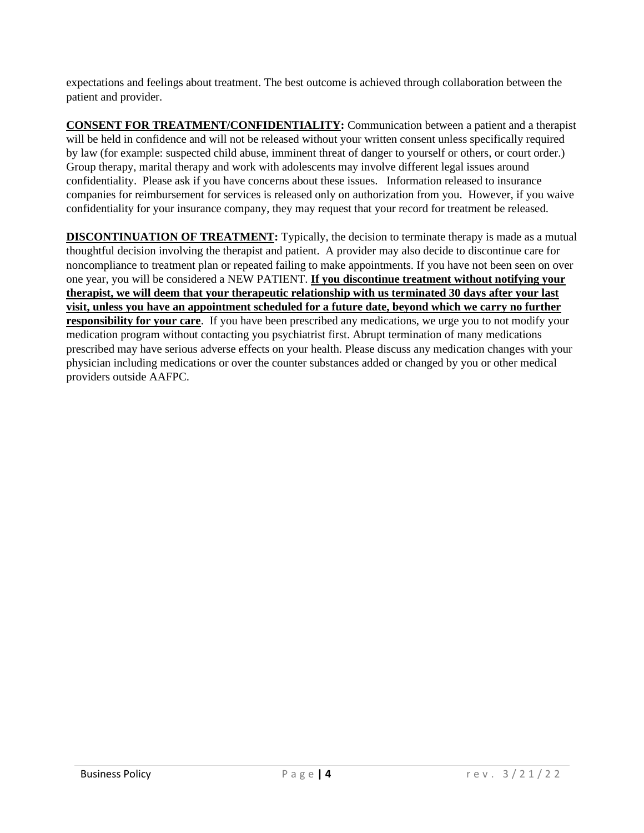expectations and feelings about treatment. The best outcome is achieved through collaboration between the patient and provider.

**CONSENT FOR TREATMENT/CONFIDENTIALITY:** Communication between a patient and a therapist will be held in confidence and will not be released without your written consent unless specifically required by law (for example: suspected child abuse, imminent threat of danger to yourself or others, or court order.) Group therapy, marital therapy and work with adolescents may involve different legal issues around confidentiality. Please ask if you have concerns about these issues. Information released to insurance companies for reimbursement for services is released only on authorization from you. However, if you waive confidentiality for your insurance company, they may request that your record for treatment be released.

**DISCONTINUATION OF TREATMENT:** Typically, the decision to terminate therapy is made as a mutual thoughtful decision involving the therapist and patient. A provider may also decide to discontinue care for noncompliance to treatment plan or repeated failing to make appointments. If you have not been seen on over one year, you will be considered a NEW PATIENT. **If you discontinue treatment without notifying your therapist, we will deem that your therapeutic relationship with us terminated 30 days after your last visit, unless you have an appointment scheduled for a future date, beyond which we carry no further responsibility for your care**. If you have been prescribed any medications, we urge you to not modify your medication program without contacting you psychiatrist first. Abrupt termination of many medications prescribed may have serious adverse effects on your health. Please discuss any medication changes with your physician including medications or over the counter substances added or changed by you or other medical providers outside AAFPC.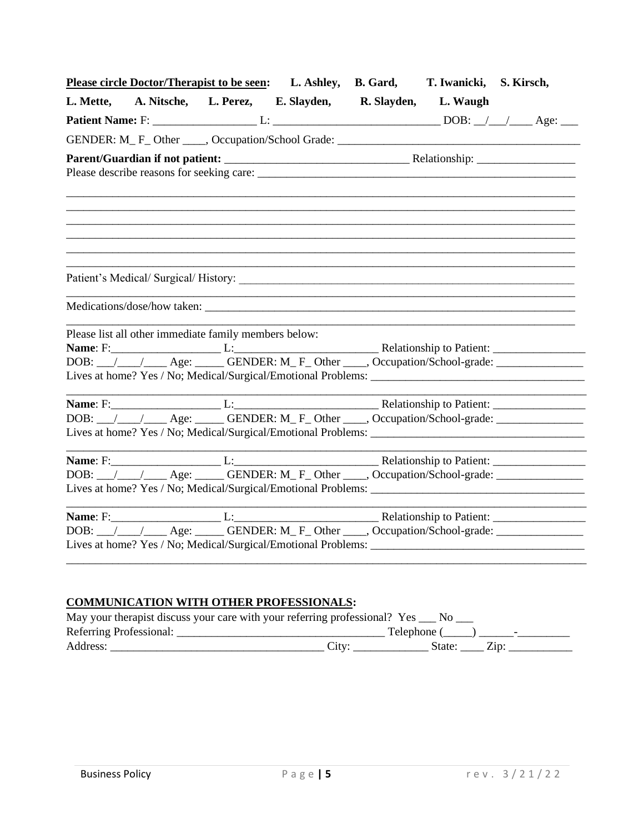|                                                       | Please circle Doctor/Therapist to be seen: L. Ashley, B. Gard, T. Iwanicki, S. Kirsch, |  |
|-------------------------------------------------------|----------------------------------------------------------------------------------------|--|
|                                                       | L. Mette, A. Nitsche, L. Perez, E. Slayden, R. Slayden, L. Waugh                       |  |
|                                                       |                                                                                        |  |
|                                                       |                                                                                        |  |
|                                                       |                                                                                        |  |
|                                                       |                                                                                        |  |
|                                                       |                                                                                        |  |
|                                                       |                                                                                        |  |
|                                                       |                                                                                        |  |
|                                                       |                                                                                        |  |
|                                                       |                                                                                        |  |
|                                                       |                                                                                        |  |
|                                                       |                                                                                        |  |
|                                                       |                                                                                        |  |
| Please list all other immediate family members below: |                                                                                        |  |
|                                                       |                                                                                        |  |
|                                                       |                                                                                        |  |
|                                                       |                                                                                        |  |
|                                                       |                                                                                        |  |
|                                                       | DOB: // // Age: GENDER: M_F_Other ____, Occupation/School-grade: _______________       |  |
|                                                       |                                                                                        |  |
|                                                       |                                                                                        |  |
|                                                       |                                                                                        |  |
|                                                       |                                                                                        |  |
|                                                       |                                                                                        |  |
|                                                       |                                                                                        |  |
|                                                       | DOB: // // Age: GENDER: M_F_Other ___, Occupation/School-grade: ________________       |  |
|                                                       |                                                                                        |  |
|                                                       |                                                                                        |  |

# **COMMUNICATION WITH OTHER PROFESSIONALS:**

| May your therapist discuss your care with your referring professional? Yes ___ No |                   |             |                 |  |
|-----------------------------------------------------------------------------------|-------------------|-------------|-----------------|--|
| Referring Professional:                                                           |                   | Telephone ( |                 |  |
| Address:                                                                          | City <sup>-</sup> | State:      | Z <sub>1D</sub> |  |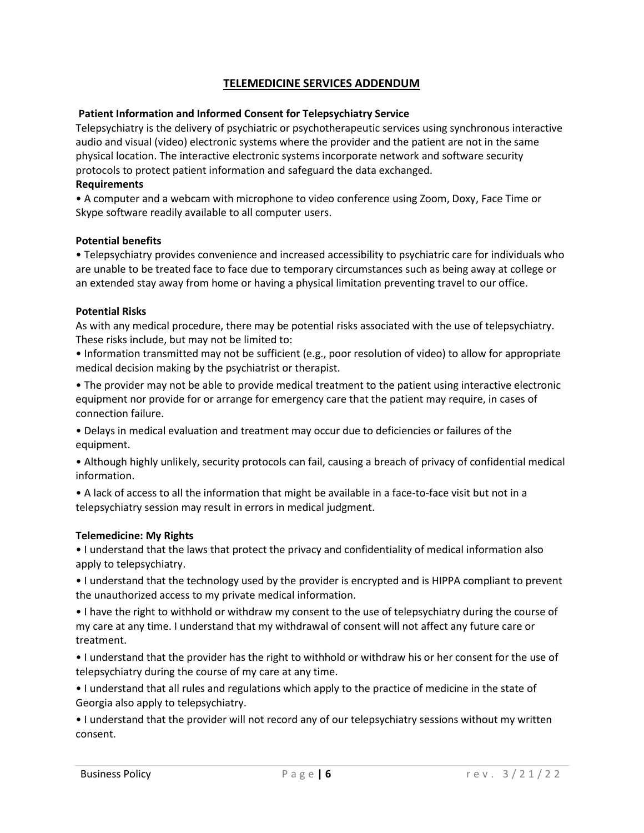# **TELEMEDICINE SERVICES ADDENDUM**

#### **Patient Information and Informed Consent for Telepsychiatry Service**

Telepsychiatry is the delivery of psychiatric or psychotherapeutic services using synchronous interactive audio and visual (video) electronic systems where the provider and the patient are not in the same physical location. The interactive electronic systems incorporate network and software security protocols to protect patient information and safeguard the data exchanged.

#### **Requirements**

• A computer and a webcam with microphone to video conference using Zoom, Doxy, Face Time or Skype software readily available to all computer users.

#### **Potential benefits**

• Telepsychiatry provides convenience and increased accessibility to psychiatric care for individuals who are unable to be treated face to face due to temporary circumstances such as being away at college or an extended stay away from home or having a physical limitation preventing travel to our office.

#### **Potential Risks**

As with any medical procedure, there may be potential risks associated with the use of telepsychiatry. These risks include, but may not be limited to:

• Information transmitted may not be sufficient (e.g., poor resolution of video) to allow for appropriate medical decision making by the psychiatrist or therapist.

• The provider may not be able to provide medical treatment to the patient using interactive electronic equipment nor provide for or arrange for emergency care that the patient may require, in cases of connection failure.

• Delays in medical evaluation and treatment may occur due to deficiencies or failures of the equipment.

• Although highly unlikely, security protocols can fail, causing a breach of privacy of confidential medical information.

• A lack of access to all the information that might be available in a face-to-face visit but not in a telepsychiatry session may result in errors in medical judgment.

#### **Telemedicine: My Rights**

• I understand that the laws that protect the privacy and confidentiality of medical information also apply to telepsychiatry.

• I understand that the technology used by the provider is encrypted and is HIPPA compliant to prevent the unauthorized access to my private medical information.

• I have the right to withhold or withdraw my consent to the use of telepsychiatry during the course of my care at any time. I understand that my withdrawal of consent will not affect any future care or treatment.

• I understand that the provider has the right to withhold or withdraw his or her consent for the use of telepsychiatry during the course of my care at any time.

• I understand that all rules and regulations which apply to the practice of medicine in the state of Georgia also apply to telepsychiatry.

• I understand that the provider will not record any of our telepsychiatry sessions without my written consent.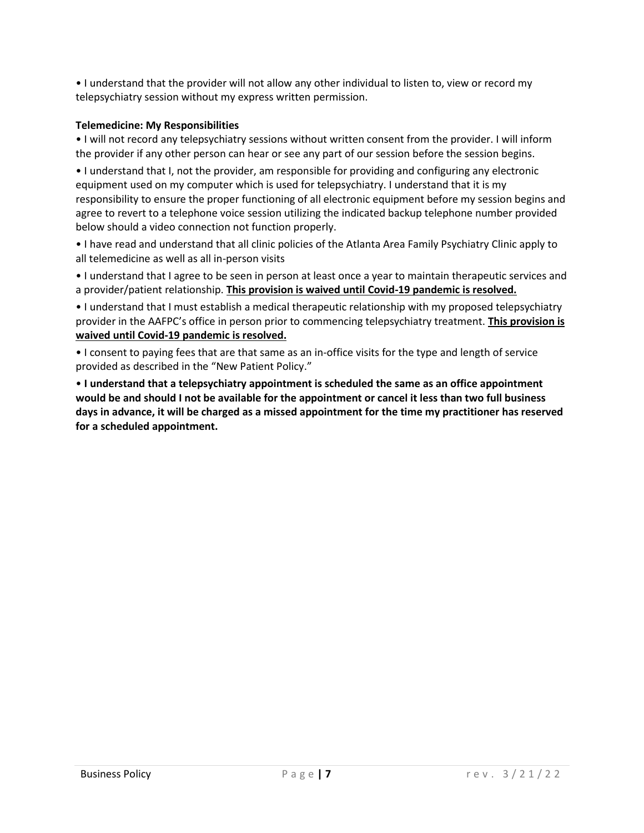• I understand that the provider will not allow any other individual to listen to, view or record my telepsychiatry session without my express written permission.

#### **Telemedicine: My Responsibilities**

• I will not record any telepsychiatry sessions without written consent from the provider. I will inform the provider if any other person can hear or see any part of our session before the session begins.

• I understand that I, not the provider, am responsible for providing and configuring any electronic equipment used on my computer which is used for telepsychiatry. I understand that it is my responsibility to ensure the proper functioning of all electronic equipment before my session begins and agree to revert to a telephone voice session utilizing the indicated backup telephone number provided below should a video connection not function properly.

• I have read and understand that all clinic policies of the Atlanta Area Family Psychiatry Clinic apply to all telemedicine as well as all in-person visits

• I understand that I agree to be seen in person at least once a year to maintain therapeutic services and a provider/patient relationship. **This provision is waived until Covid-19 pandemic is resolved.**

• I understand that I must establish a medical therapeutic relationship with my proposed telepsychiatry provider in the AAFPC's office in person prior to commencing telepsychiatry treatment. **This provision is waived until Covid-19 pandemic is resolved.**

• I consent to paying fees that are that same as an in-office visits for the type and length of service provided as described in the "New Patient Policy."

• **I understand that a telepsychiatry appointment is scheduled the same as an office appointment would be and should I not be available for the appointment or cancel it less than two full business days in advance, it will be charged as a missed appointment for the time my practitioner has reserved for a scheduled appointment.**